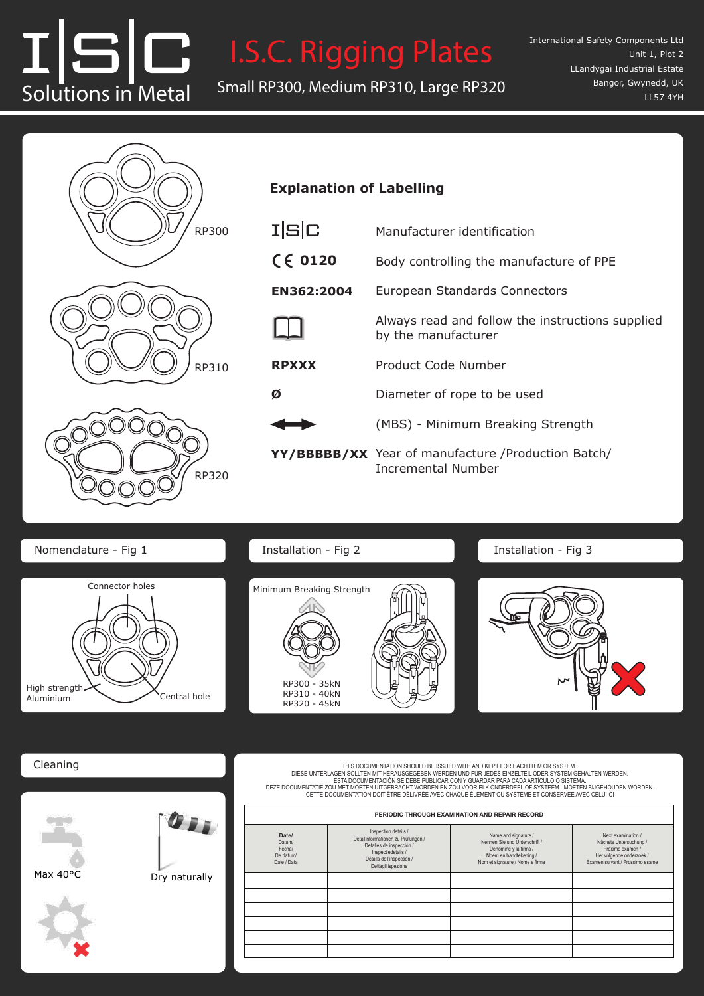# Solutions in Metal <sup>1</sup> <sup>4</sup> Solutions in Metal Small RP300, Medium RP310, Large RP320 <sup>1</sup> <sup>4</sup>

**I.S.C. Rigging Plates** Internation Rotational Braking Back-up Device I.S.C. Rigging Plates Rotational Braking Back-up Device L. Rigging Plates I

RP891—Fixed

RP891—Fixed



# **Explanation of Labelling**

I|S|C—manufacturer identification.

I|S|C—manufacturer identification.

| I S C        | Manufacturer identification                                                      |  |  |
|--------------|----------------------------------------------------------------------------------|--|--|
| $C \in 0120$ | Body controlling the manufacture of PPE                                          |  |  |
| EN362:2004   | European Standards Connectors                                                    |  |  |
|              | Always read and follow the instructions supplied<br>by the manufacturer          |  |  |
| <b>RPXXX</b> | Product Code Number                                                              |  |  |
| Ø            | Diameter of rope to be used                                                      |  |  |
|              | (MBS) - Minimum Breaking Strength                                                |  |  |
|              | YY/BBBBB/XX Year of manufacture / Production Batch/<br><b>Incremental Number</b> |  |  |

Nomenclature - Fig 1 **Installation - Fig 2** 



Installation - Fig 2



Installation - Fig 3



Cleaning Cleaning Cleaning Cleaning

THIS DOCUMENTATION SHOULD BE ISSUED WITH AND KEPT FOR EACH ITEM OR SYSTEM.<br>DIESE UNTERLAGEN SOLLTEN MIT HERAUSGEGEBEN WERDEN UND FÜR JEDES EINZELTEIL ODER SYSTEM GEHALTEN WERDEN.<br>ESTA DOCUMENTACIÓN SE DEBE PUBLICAR CON Y G CETTE DOCUMENTATION DOIT ÊTRE DÉLIVRÉE AVEC CHAQUE ÉLÉMENT OU SYSTÈME ET CONSERVÉE AVEC CELUI-CI THIS DOCUMENTATION SHOULD BE ISSUE TO MYTH AND KEPT FOR EACH ITEM OR SYSTEM.<br>DIESE UNTERLAGEN SOLLTEN MIT HERAUSGEGEBEN WERDEN UND FÜR JEDES EINZELTEIL ODER SYSTEM GEHALTEN WERDEN.<br>DEZE DOCUMENTATIE ZOU MET MOEBRACHT WORDE - ESTA DOCUMENTACION SE DEBE PUBLICAR CON Y GUARDAR PARA CADA ARTICULO O SISTEMA.<br>OU MET MOETEN UITGEBRACHT WORDEN EN ZOU VOOR ELK ONDERDEEL OF SYSTEEM - MOETEN BIJGEHOUDEN WORDE<br>OCUMENTATION DOIT ÊTRE DÉLIVRÉE AVEC CHAQUE CETTE DOCUMENTATION DOIT ÊTRE DÉLIVRÉE AVEC CHAQUE ÉLÉMENT OU SYSTÈME ET CONSERVÉE AVEC CELUI-CI

| PERIODIC THROUGH EXAMINATION AND REPAIR RECORD        |                                                                                                                                                                 |                                                                                                                                             |                                                                                                                                 |
|-------------------------------------------------------|-----------------------------------------------------------------------------------------------------------------------------------------------------------------|---------------------------------------------------------------------------------------------------------------------------------------------|---------------------------------------------------------------------------------------------------------------------------------|
| Date/<br>Datum/<br>Fecha/<br>De datum/<br>Date / Data | Inspection details /<br>Detailinformationen zu Prüfungen /<br>Detalles de inspección /<br>Inspectiedetails /<br>Détails de l'inspection /<br>Dettagli ispezione | Name and signature /<br>Nennen Sie und Unterschrift /<br>Denomine y la firma /<br>Noem en handtekening /<br>Nom et signature / Nome e firma | Next examination /<br>Nächste Untersuchung /<br>Próximo examen /<br>Het volgende onderzoek /<br>Examen suivant / Prossimo esame |
|                                                       |                                                                                                                                                                 |                                                                                                                                             |                                                                                                                                 |
|                                                       |                                                                                                                                                                 |                                                                                                                                             |                                                                                                                                 |
|                                                       |                                                                                                                                                                 |                                                                                                                                             |                                                                                                                                 |
|                                                       |                                                                                                                                                                 |                                                                                                                                             |                                                                                                                                 |
|                                                       |                                                                                                                                                                 |                                                                                                                                             |                                                                                                                                 |
|                                                       |                                                                                                                                                                 |                                                                                                                                             |                                                                                                                                 |



Max 40°C Dry naturally